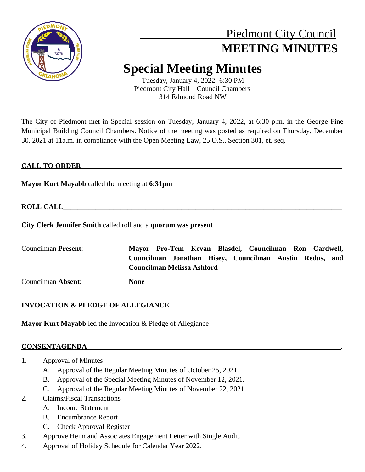

# Piedmont City Council  **MEETING MINUTES**

# **Special Meeting Minutes**

Tuesday, January 4, 2022 -6:30 PM Piedmont City Hall – Council Chambers 314 Edmond Road NW

The City of Piedmont met in Special session on Tuesday, January 4, 2022, at 6:30 p.m. in the George Fine Municipal Building Council Chambers. Notice of the meeting was posted as required on Thursday, December 30, 2021 at 11a.m. in compliance with the Open Meeting Law, 25 O.S., Section 301, et. seq.

# **CALL TO ORDER**\_\_\_\_\_\_\_\_\_\_\_\_\_\_\_\_\_\_\_\_\_\_\_\_\_\_\_\_\_\_\_\_\_\_\_\_\_\_\_\_\_\_\_\_\_\_\_\_\_\_\_\_\_\_\_\_\_\_\_\_\_\_\_\_\_\_\_\_\_\_\_\_\_

**Mayor Kurt Mayabb** called the meeting at **6:31pm**

# **ROLL CALL**

**City Clerk Jennifer Smith** called roll and a **quorum was present**

| Councilman <b>Present</b> : |      | Mayor Pro-Tem Kevan Blasdel, Councilman Ron Cardwell,                                        |  |  |  |  |
|-----------------------------|------|----------------------------------------------------------------------------------------------|--|--|--|--|
|                             |      | Councilman Jonathan Hisey, Councilman Austin Redus, and<br><b>Councilman Melissa Ashford</b> |  |  |  |  |
| Councilman Absent:          | None |                                                                                              |  |  |  |  |

# **INVOCATION & PLEDGE OF ALLEGIANCE**\_\_\_\_\_\_\_\_\_\_\_\_\_\_\_\_\_\_\_\_\_\_\_\_\_\_\_\_\_\_\_\_\_\_\_\_\_\_\_\_\_\_\_\_\_\_\_|

**Mayor Kurt Mayabb** led the Invocation & Pledge of Allegiance

#### **CONSENTAGENDA**\_\_\_\_\_\_\_\_\_\_\_\_\_\_\_\_\_\_\_\_\_\_\_\_\_\_\_\_\_\_\_\_\_\_\_\_\_\_\_\_\_\_\_\_\_\_\_\_\_\_\_\_\_\_\_\_\_\_\_\_\_\_\_\_\_\_\_\_\_\_\_*.*

- 1. Approval of Minutes
	- A. Approval of the Regular Meeting Minutes of October 25, 2021.
	- B. Approval of the Special Meeting Minutes of November 12, 2021.
	- C. Approval of the Regular Meeting Minutes of November 22, 2021.
- 2. Claims/Fiscal Transactions
	- A. Income Statement
	- B. Encumbrance Report
	- C. Check Approval Register
- 3. Approve Heim and Associates Engagement Letter with Single Audit.
- 4. Approval of Holiday Schedule for Calendar Year 2022.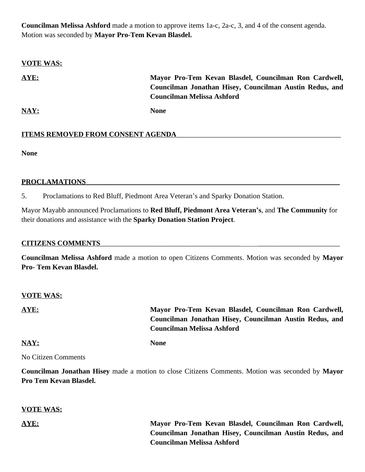**Councilman Melissa Ashford** made a motion to approve items 1a-c, 2a-c, 3, and 4 of the consent agenda. Motion was seconded by **Mayor Pro-Tem Kevan Blasdel.**

# **VOTE WAS: AYE: Mayor Pro-Tem Kevan Blasdel, Councilman Ron Cardwell, Councilman Jonathan Hisey, Councilman Austin Redus, and Councilman Melissa Ashford NAY: None**

**None**

#### PROCLAMATIONS

**ITEMS REMOVED FROM CONSENT AGENDA** 

5. Proclamations to Red Bluff, Piedmont Area Veteran's and Sparky Donation Station.

Mayor Mayabb announced Proclamations to **Red Bluff, Piedmont Area Veteran's**, and **The Community** for their donations and assistance with the **Sparky Donation Station Project**.

#### **CITIZENS COMMENTS**\_\_\_\_\_\_\_\_\_\_\_\_\_\_\_\_\_\_\_\_\_\_\_\_\_\_\_\_\_\_\_\_\_\_\_\_\_\_\_ \_\_\_\_\_\_\_\_\_\_\_\_\_\_\_\_\_\_\_\_\_\_\_

**Councilman Melissa Ashford** made a motion to open Citizens Comments. Motion was seconded by **Mayor Pro- Tem Kevan Blasdel.**

#### **VOTE WAS:**

**AYE: Mayor Pro-Tem Kevan Blasdel, Councilman Ron Cardwell, Councilman Jonathan Hisey, Councilman Austin Redus, and Councilman Melissa Ashford**

**NAY: None**

No Citizen Comments

**Councilman Jonathan Hisey** made a motion to close Citizens Comments. Motion was seconded by **Mayor Pro Tem Kevan Blasdel.** 

#### **VOTE WAS:**

**AYE: Mayor Pro-Tem Kevan Blasdel, Councilman Ron Cardwell, Councilman Jonathan Hisey, Councilman Austin Redus, and Councilman Melissa Ashford**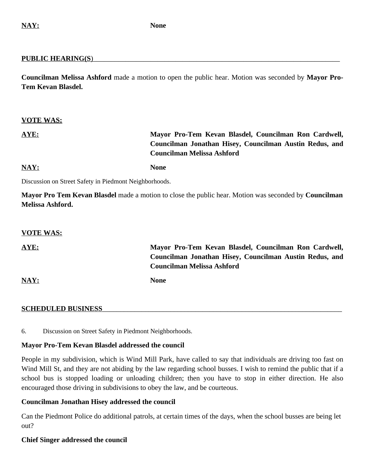#### PUBLIC HEARING(S)

**Councilman Melissa Ashford** made a motion to open the public hear. Motion was seconded by **Mayor Pro-Tem Kevan Blasdel.**

#### **VOTE WAS:**

# **AYE: Mayor Pro-Tem Kevan Blasdel, Councilman Ron Cardwell, Councilman Jonathan Hisey, Councilman Austin Redus, and Councilman Melissa Ashford**

### **NAY: None**

Discussion on Street Safety in Piedmont Neighborhoods.

**Mayor Pro Tem Kevan Blasdel** made a motion to close the public hear. Motion was seconded by **Councilman Melissa Ashford.**

#### **VOTE WAS:**

**AYE: Mayor Pro-Tem Kevan Blasdel, Councilman Ron Cardwell, Councilman Jonathan Hisey, Councilman Austin Redus, and Councilman Melissa Ashford**

**NAY: None**

#### SCHEDULED BUSINESS

6. Discussion on Street Safety in Piedmont Neighborhoods.

#### **Mayor Pro-Tem Kevan Blasdel addressed the council**

People in my subdivision, which is Wind Mill Park, have called to say that individuals are driving too fast on Wind Mill St, and they are not abiding by the law regarding school busses. I wish to remind the public that if a school bus is stopped loading or unloading children; then you have to stop in either direction. He also encouraged those driving in subdivisions to obey the law, and be courteous.

#### **Councilman Jonathan Hisey addressed the council**

Can the Piedmont Police do additional patrols, at certain times of the days, when the school busses are being let out?

#### **Chief Singer addressed the council**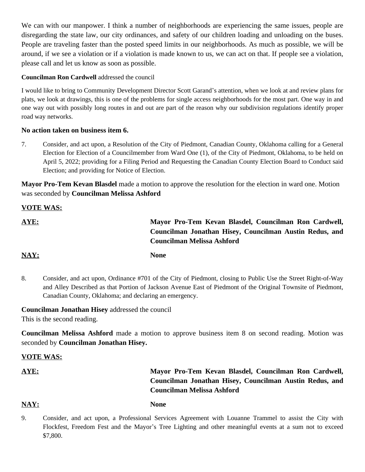We can with our manpower. I think a number of neighborhoods are experiencing the same issues, people are disregarding the state law, our city ordinances, and safety of our children loading and unloading on the buses. People are traveling faster than the posted speed limits in our neighborhoods. As much as possible, we will be around, if we see a violation or if a violation is made known to us, we can act on that. If people see a violation, please call and let us know as soon as possible.

#### **Councilman Ron Cardwell** addressed the council

I would like to bring to Community Development Director Scott Garand's attention, when we look at and review plans for plats, we look at drawings, this is one of the problems for single access neighborhoods for the most part. One way in and one way out with possibly long routes in and out are part of the reason why our subdivision regulations identify proper road way networks.

#### **No action taken on business item 6.**

7. Consider, and act upon, a Resolution of the City of Piedmont, Canadian County, Oklahoma calling for a General Election for Election of a Councilmember from Ward One (1), of the City of Piedmont, Oklahoma, to be held on April 5, 2022; providing for a Filing Period and Requesting the Canadian County Election Board to Conduct said Election; and providing for Notice of Election.

**Mayor Pro-Tem Kevan Blasdel** made a motion to approve the resolution for the election in ward one. Motion was seconded by **Councilman Melissa Ashford**

#### **VOTE WAS:**

**AYE: Mayor Pro-Tem Kevan Blasdel, Councilman Ron Cardwell, Councilman Jonathan Hisey, Councilman Austin Redus, and Councilman Melissa Ashford**

#### **NAY: None**

8. Consider, and act upon, Ordinance #701 of the City of Piedmont, closing to Public Use the Street Right-of-Way and Alley Described as that Portion of Jackson Avenue East of Piedmont of the Original Townsite of Piedmont, Canadian County, Oklahoma; and declaring an emergency.

**Councilman Jonathan Hisey** addressed the council This is the second reading.

**Councilman Melissa Ashford** made a motion to approve business item 8 on second reading. Motion was seconded by **Councilman Jonathan Hisey.**

#### **VOTE WAS:**

# **AYE: Mayor Pro-Tem Kevan Blasdel, Councilman Ron Cardwell, Councilman Jonathan Hisey, Councilman Austin Redus, and Councilman Melissa Ashford**

#### **NAY: None**

9. Consider, and act upon, a Professional Services Agreement with Louanne Trammel to assist the City with Flockfest, Freedom Fest and the Mayor's Tree Lighting and other meaningful events at a sum not to exceed \$7,800.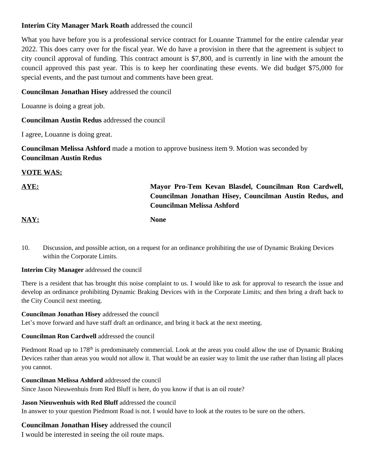#### **Interim City Manager Mark Roath** addressed the council

What you have before you is a professional service contract for Louanne Trammel for the entire calendar year 2022. This does carry over for the fiscal year. We do have a provision in there that the agreement is subject to city council approval of funding. This contract amount is \$7,800, and is currently in line with the amount the council approved this past year. This is to keep her coordinating these events. We did budget \$75,000 for special events, and the past turnout and comments have been great.

### **Councilman Jonathan Hisey** addressed the council

Louanne is doing a great job.

**Councilman Austin Redus** addressed the council

I agree, Louanne is doing great.

**Councilman Melissa Ashford** made a motion to approve business item 9. Motion was seconded by **Councilman Austin Redus**

# **VOTE WAS:**

# **AYE: Mayor Pro-Tem Kevan Blasdel, Councilman Ron Cardwell, Councilman Jonathan Hisey, Councilman Austin Redus, and Councilman Melissa Ashford**

**NAY: None**

10. Discussion, and possible action, on a request for an ordinance prohibiting the use of Dynamic Braking Devices within the Corporate Limits*.*

#### **Interim City Manager** addressed the council

There is a resident that has brought this noise complaint to us. I would like to ask for approval to research the issue and develop an ordinance prohibiting Dynamic Braking Devices with in the Corporate Limits; and then bring a draft back to the City Council next meeting.

#### **Councilman Jonathan Hisey** addressed the council

Let's move forward and have staff draft an ordinance, and bring it back at the next meeting.

#### **Councilman Ron Cardwell** addressed the council

Piedmont Road up to 178<sup>th</sup> is predominately commercial. Look at the areas you could allow the use of Dynamic Braking Devices rather than areas you would not allow it. That would be an easier way to limit the use rather than listing all places you cannot.

#### **Councilman Melissa Ashford** addressed the council

Since Jason Nieuwenhuis from Red Bluff is here, do you know if that is an oil route?

#### **Jason Nieuwenhuis with Red Bluff** addressed the council

In answer to your question Piedmont Road is not. I would have to look at the routes to be sure on the others.

#### **Councilman Jonathan Hisey** addressed the council

I would be interested in seeing the oil route maps.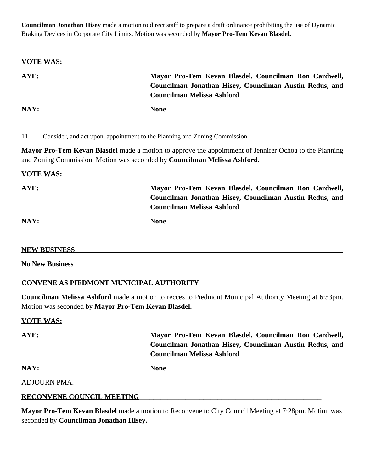**Councilman Jonathan Hisey** made a motion to direct staff to prepare a draft ordinance prohibiting the use of Dynamic Braking Devices in Corporate City Limits. Motion was seconded by **Mayor Pro-Tem Kevan Blasdel.**

| <b>VOTE WAS:</b> |                                                         |
|------------------|---------------------------------------------------------|
| AYE:             | Mayor Pro-Tem Kevan Blasdel, Councilman Ron Cardwell,   |
|                  | Councilman Jonathan Hisey, Councilman Austin Redus, and |
|                  | <b>Councilman Melissa Ashford</b>                       |
| NAY:             | <b>None</b>                                             |

11. Consider, and act upon, appointment to the Planning and Zoning Commission.

**Mayor Pro-Tem Kevan Blasdel** made a motion to approve the appointment of Jennifer Ochoa to the Planning and Zoning Commission. Motion was seconded by **Councilman Melissa Ashford.**

#### **VOTE WAS:**

| AYE: | Mayor Pro-Tem Kevan Blasdel, Councilman Ron Cardwell,   |
|------|---------------------------------------------------------|
|      | Councilman Jonathan Hisey, Councilman Austin Redus, and |
|      | <b>Councilman Melissa Ashford</b>                       |
| NAY: | <b>None</b>                                             |

#### **NEW BUSINESS**\_\_\_\_\_\_\_\_\_\_\_\_\_\_\_\_\_\_\_\_\_\_\_\_\_\_\_\_\_\_\_\_\_\_\_\_\_\_\_\_\_\_\_\_\_\_\_\_\_\_\_\_\_\_\_\_\_\_\_\_\_\_\_\_\_\_\_\_\_\_\_\_\_\_\_

**No New Business**

#### **CONVENE AS PIEDMONT MUNICIPAL AUTHORITY**

**Councilman Melissa Ashford** made a motion to recces to Piedmont Municipal Authority Meeting at 6:53pm. Motion was seconded by **Mayor Pro-Tem Kevan Blasdel.**

#### **VOTE WAS:**

**AYE: Mayor Pro-Tem Kevan Blasdel, Councilman Ron Cardwell, Councilman Jonathan Hisey, Councilman Austin Redus, and Councilman Melissa Ashford**

**NAY: None**

#### ADJOURN PMA.

#### **RECONVENE COUNCIL MEETING\_\_\_\_\_\_\_\_\_\_\_\_\_\_\_\_\_\_\_\_\_\_\_\_\_\_\_\_\_\_\_\_\_\_\_\_\_\_\_\_\_\_\_\_\_\_\_\_\_\_\_**

**Mayor Pro-Tem Kevan Blasdel** made a motion to Reconvene to City Council Meeting at 7:28pm. Motion was seconded by **Councilman Jonathan Hisey.**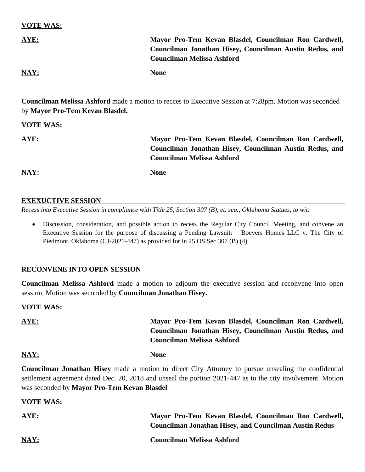#### **VOTE WAS:**

| AYE:                       | Mayor Pro-Tem Kevan Blasdel, Councilman Ron Cardwell,   |
|----------------------------|---------------------------------------------------------|
|                            | Councilman Jonathan Hisey, Councilman Austin Redus, and |
|                            | <b>Councilman Melissa Ashford</b>                       |
| $\overline{\textbf{NAY:}}$ | <b>None</b>                                             |

**Councilman Melissa Ashford** made a motion to recces to Executive Session at 7:28pm. Motion was seconded by **Mayor Pro-Tem Kevan Blasdel.**

#### **VOTE WAS:**

| AYE: | Mayor Pro-Tem Kevan Blasdel, Councilman Ron Cardwell,                                        |
|------|----------------------------------------------------------------------------------------------|
|      | Councilman Jonathan Hisey, Councilman Austin Redus, and<br><b>Councilman Melissa Ashford</b> |
| NAY: | <b>None</b>                                                                                  |

#### **EXEXUCTIVE SESSION**

*Recess into Executive Session in compliance with Title 25, Section 307 (B), et. seq., Oklahoma Statues, to wit:*

 Discussion, consideration, and possible action to recess the Regular City Council Meeting, and convene an Executive Session for the purpose of discussing a Pending Lawsuit: Boevers Homes LLC v. The City of Piedmont, Oklahoma (CJ-2021-447) as provided for in 25 OS Sec 307 (B) (4).

#### **RECONVENE INTO OPEN SESSION**

**Councilman Melissa Ashford** made a motion to adjourn the executive session and reconvene into open session. Motion was seconded by **Councilman Jonathan Hisey.**

#### **VOTE WAS:**

| AYE: | Mayor Pro-Tem Kevan Blasdel, Councilman Ron Cardwell,   |
|------|---------------------------------------------------------|
|      | Councilman Jonathan Hisey, Councilman Austin Redus, and |
|      | <b>Councilman Melissa Ashford</b>                       |
| NAY: | <b>None</b>                                             |

**Councilman Jonathan Hisey** made a motion to direct City Attorney to pursue unsealing the confidential settlement agreement dated Dec. 20, 2018 and unseal the portion 2021-447 as to the city involvement. Motion was seconded by **Mayor Pro-Tem Kevan Blasdel**

#### **VOTE WAS:**

| <b>AYE:</b> | Mayor Pro-Tem Kevan Blasdel, Councilman Ron Cardwell,         |
|-------------|---------------------------------------------------------------|
|             | <b>Councilman Jonathan Hisey, and Councilman Austin Redus</b> |
| NAY:        | <b>Councilman Melissa Ashford</b>                             |